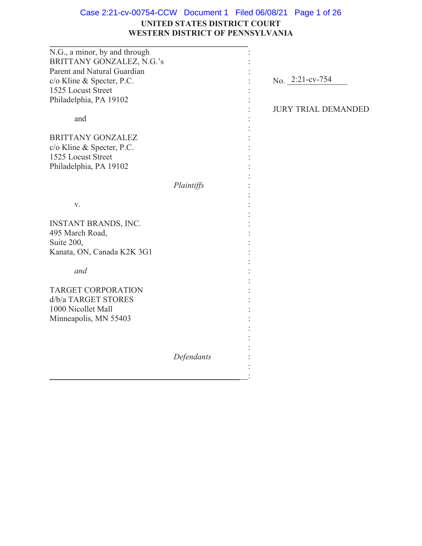# **UNITED STATES DISTRICT COURT WESTERN DISTRICT OF PENNSYLVANIA** Case 2:21-cv-00754-CCW Document 1 Filed 06/08/21 Page 1 of 26

| N.G., a minor, by and through |            |                            |
|-------------------------------|------------|----------------------------|
| BRITTANY GONZALEZ, N.G.'s     |            |                            |
| Parent and Natural Guardian   |            |                            |
| c/o Kline & Specter, P.C.     |            | No. 2:21-cv-754            |
| 1525 Locust Street            |            |                            |
| Philadelphia, PA 19102        |            |                            |
|                               |            | <b>JURY TRIAL DEMANDED</b> |
|                               |            |                            |
| and                           |            |                            |
|                               |            |                            |
| <b>BRITTANY GONZALEZ</b>      |            |                            |
| c/o Kline & Specter, P.C.     |            |                            |
| 1525 Locust Street            |            |                            |
| Philadelphia, PA 19102        |            |                            |
|                               |            |                            |
|                               | Plaintiffs |                            |
|                               |            |                            |
| V.                            |            |                            |
|                               |            |                            |
| INSTANT BRANDS, INC.          |            |                            |
| 495 March Road,               |            |                            |
| Suite 200,                    |            |                            |
| Kanata, ON, Canada K2K 3G1    |            |                            |
|                               |            |                            |
|                               |            |                            |
| and                           |            |                            |
|                               |            |                            |
| <b>TARGET CORPORATION</b>     |            |                            |
| d/b/a TARGET STORES           |            |                            |
| 1000 Nicollet Mall            |            |                            |
| Minneapolis, MN 55403         |            |                            |
|                               |            |                            |
|                               |            |                            |
|                               |            |                            |
|                               | Defendants |                            |
|                               |            |                            |
|                               |            |                            |
|                               |            |                            |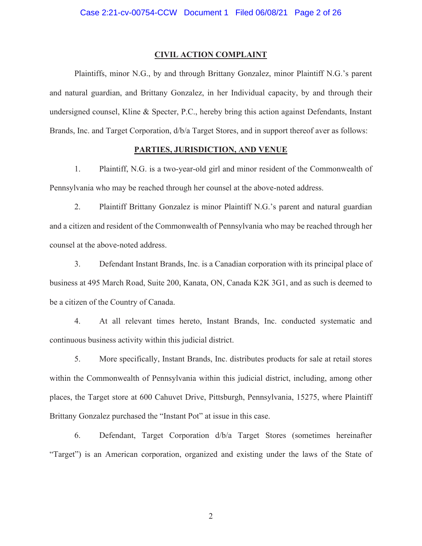#### **CIVIL ACTION COMPLAINT**

Plaintiffs, minor N.G., by and through Brittany Gonzalez, minor Plaintiff N.G.'s parent and natural guardian, and Brittany Gonzalez, in her Individual capacity, by and through their undersigned counsel, Kline & Specter, P.C., hereby bring this action against Defendants, Instant Brands, Inc. and Target Corporation, d/b/a Target Stores, and in support thereof aver as follows:

## **PARTIES, JURISDICTION, AND VENUE**

1. Plaintiff, N.G. is a two-year-old girl and minor resident of the Commonwealth of Pennsylvania who may be reached through her counsel at the above-noted address.

2. Plaintiff Brittany Gonzalez is minor Plaintiff N.G.'s parent and natural guardian and a citizen and resident of the Commonwealth of Pennsylvania who may be reached through her counsel at the above-noted address.

3. Defendant Instant Brands, Inc. is a Canadian corporation with its principal place of business at 495 March Road, Suite 200, Kanata, ON, Canada K2K 3G1, and as such is deemed to be a citizen of the Country of Canada.

4. At all relevant times hereto, Instant Brands, Inc. conducted systematic and continuous business activity within this judicial district.

5. More specifically, Instant Brands, Inc. distributes products for sale at retail stores within the Commonwealth of Pennsylvania within this judicial district, including, among other places, the Target store at 600 Cahuvet Drive, Pittsburgh, Pennsylvania, 15275, where Plaintiff Brittany Gonzalez purchased the "Instant Pot" at issue in this case.

6. Defendant, Target Corporation d/b/a Target Stores (sometimes hereinafter "Target") is an American corporation, organized and existing under the laws of the State of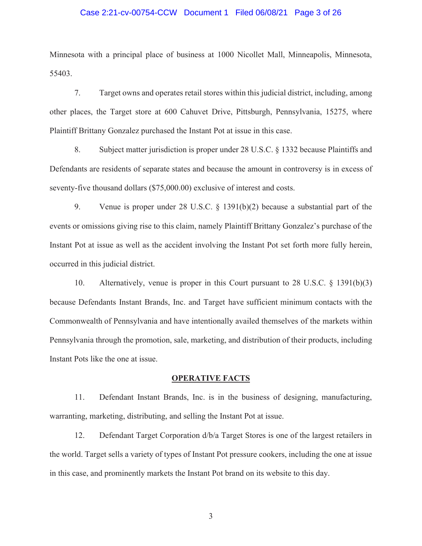#### Case 2:21-cv-00754-CCW Document 1 Filed 06/08/21 Page 3 of 26

Minnesota with a principal place of business at 1000 Nicollet Mall, Minneapolis, Minnesota, 55403.

7. Target owns and operates retail stores within this judicial district, including, among other places, the Target store at 600 Cahuvet Drive, Pittsburgh, Pennsylvania, 15275, where Plaintiff Brittany Gonzalez purchased the Instant Pot at issue in this case.

8. Subject matter jurisdiction is proper under 28 U.S.C. § 1332 because Plaintiffs and Defendants are residents of separate states and because the amount in controversy is in excess of seventy-five thousand dollars (\$75,000.00) exclusive of interest and costs.

9. Venue is proper under 28 U.S.C. § 1391(b)(2) because a substantial part of the events or omissions giving rise to this claim, namely Plaintiff Brittany Gonzalez's purchase of the Instant Pot at issue as well as the accident involving the Instant Pot set forth more fully herein, occurred in this judicial district.

10. Alternatively, venue is proper in this Court pursuant to 28 U.S.C. § 1391(b)(3) because Defendants Instant Brands, Inc. and Target have sufficient minimum contacts with the Commonwealth of Pennsylvania and have intentionally availed themselves of the markets within Pennsylvania through the promotion, sale, marketing, and distribution of their products, including Instant Pots like the one at issue.

#### **OPERATIVE FACTS**

11. Defendant Instant Brands, Inc. is in the business of designing, manufacturing, warranting, marketing, distributing, and selling the Instant Pot at issue.

12. Defendant Target Corporation d/b/a Target Stores is one of the largest retailers in the world. Target sells a variety of types of Instant Pot pressure cookers, including the one at issue in this case, and prominently markets the Instant Pot brand on its website to this day.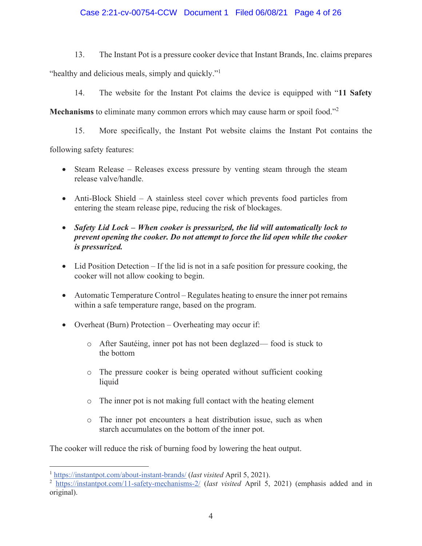# Case 2:21-cv-00754-CCW Document 1 Filed 06/08/21 Page 4 of 26

13. The Instant Pot is a pressure cooker device that Instant Brands, Inc. claims prepares

"healthy and delicious meals, simply and quickly."<sup>1</sup>

14. The website for the Instant Pot claims the device is equipped with "**11 Safety** 

**Mechanisms** to eliminate many common errors which may cause harm or spoil food."<sup>2</sup>

15. More specifically, the Instant Pot website claims the Instant Pot contains the

following safety features:

- Steam Release Releases excess pressure by venting steam through the steam release valve/handle.
- Anti-Block Shield A stainless steel cover which prevents food particles from entering the steam release pipe, reducing the risk of blockages.
- x *Safety Lid Lock – When cooker is pressurized, the lid will automatically lock to prevent opening the cooker. Do not attempt to force the lid open while the cooker is pressurized.*
- $\bullet$  Lid Position Detection If the lid is not in a safe position for pressure cooking, the cooker will not allow cooking to begin.
- Automatic Temperature Control Regulates heating to ensure the inner pot remains within a safe temperature range, based on the program.
- Overheat (Burn) Protection Overheating may occur if:
	- o After Sautéing, inner pot has not been deglazed— food is stuck to the bottom
	- o The pressure cooker is being operated without sufficient cooking liquid
	- o The inner pot is not making full contact with the heating element
	- o The inner pot encounters a heat distribution issue, such as when starch accumulates on the bottom of the inner pot.

The cooker will reduce the risk of burning food by lowering the heat output.

<sup>1</sup> https://instantpot.com/about-instant-brands/ (*last visited* April 5, 2021).

<sup>2</sup> https://instantpot.com/11-safety-mechanisms-2/ (*last visited* April 5, 2021) (emphasis added and in original).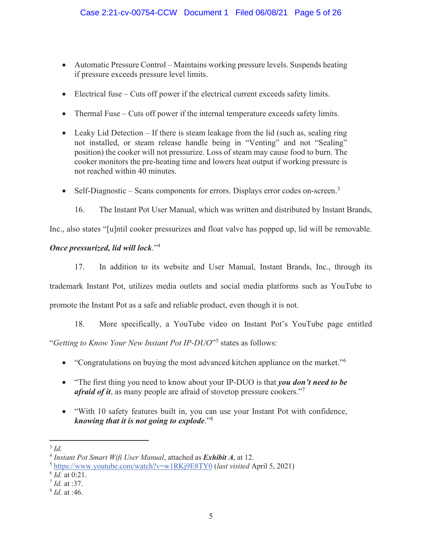- Automatic Pressure Control Maintains working pressure levels. Suspends heating if pressure exceeds pressure level limits.
- $\bullet$  Electrical fuse Cuts off power if the electrical current exceeds safety limits.
- Thermal Fuse Cuts off power if the internal temperature exceeds safety limits.
- $\bullet$  Leaky Lid Detection If there is steam leakage from the lid (such as, sealing ring not installed, or steam release handle being in "Venting" and not "Sealing" position) the cooker will not pressurize. Loss of steam may cause food to burn. The cooker monitors the pre-heating time and lowers heat output if working pressure is not reached within 40 minutes.
- $\bullet$  Self-Diagnostic Scans components for errors. Displays error codes on-screen.<sup>3</sup>
	- 16. The Instant Pot User Manual, which was written and distributed by Instant Brands,

Inc., also states "[u]ntil cooker pressurizes and float valve has popped up, lid will be removable.

# *Once pressurized, lid will lock*."<sup>4</sup>

17. In addition to its website and User Manual, Instant Brands, Inc., through its trademark Instant Pot, utilizes media outlets and social media platforms such as YouTube to promote the Instant Pot as a safe and reliable product, even though it is not.

18. More specifically, a YouTube video on Instant Pot's YouTube page entitled

"*Getting to Know Your New Instant Pot IP-DUO*"<sup>5</sup> states as follows:

- "Congratulations on buying the most advanced kitchen appliance on the market."<sup>6</sup>
- "The first thing you need to know about your IP-DUO is that *you don't need to be afraid of it*, as many people are afraid of stovetop pressure cookers."<sup>7</sup>
- "With 10 safety features built in, you can use your Instant Pot with confidence, *knowing that it is not going to explode*."<sup>8</sup>

 $3$   $Id$ .

<sup>4</sup> *Instant Pot Smart Wifi User Manual*, attached as *Exhibit A*, at 12.

<sup>5</sup> https://www.youtube.com/watch?v=w1RKj9E8TY0 (*last visited* April 5, 2021)

<sup>6</sup> *Id.* at 0:21.

<sup>7</sup> *Id.* at :37.

<sup>8</sup> *Id.* at :46.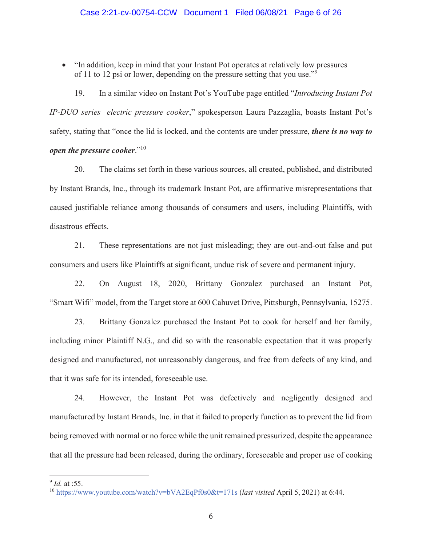x "In addition, keep in mind that your Instant Pot operates at relatively low pressures of 11 to 12 psi or lower, depending on the pressure setting that you use."<sup>9</sup>

19. In a similar video on Instant Pot's YouTube page entitled "*Introducing Instant Pot IP-DUO series electric pressure cooker*," spokesperson Laura Pazzaglia, boasts Instant Pot's safety, stating that "once the lid is locked, and the contents are under pressure, *there is no way to open the pressure cooker.*"<sup>10</sup>

20. The claims set forth in these various sources, all created, published, and distributed by Instant Brands, Inc., through its trademark Instant Pot, are affirmative misrepresentations that caused justifiable reliance among thousands of consumers and users, including Plaintiffs, with disastrous effects.

21. These representations are not just misleading; they are out-and-out false and put consumers and users like Plaintiffs at significant, undue risk of severe and permanent injury.

22. On August 18, 2020, Brittany Gonzalez purchased an Instant Pot, "Smart Wifi" model, from the Target store at 600 Cahuvet Drive, Pittsburgh, Pennsylvania, 15275.

23. Brittany Gonzalez purchased the Instant Pot to cook for herself and her family, including minor Plaintiff N.G., and did so with the reasonable expectation that it was properly designed and manufactured, not unreasonably dangerous, and free from defects of any kind, and that it was safe for its intended, foreseeable use.

24. However, the Instant Pot was defectively and negligently designed and manufactured by Instant Brands, Inc. in that it failed to properly function as to prevent the lid from being removed with normal or no force while the unit remained pressurized, despite the appearance that all the pressure had been released, during the ordinary, foreseeable and proper use of cooking

<sup>9</sup> *Id.* at :55.

<sup>10</sup> https://www.youtube.com/watch?v=bVA2EqPf0s0&t=171s (*last visited* April 5, 2021) at 6:44.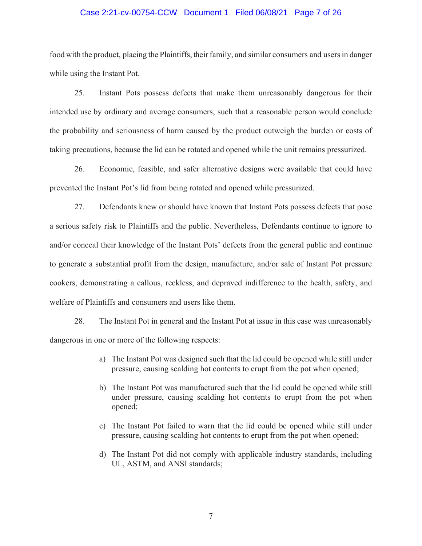### Case 2:21-cv-00754-CCW Document 1 Filed 06/08/21 Page 7 of 26

food with the product, placing the Plaintiffs, their family, and similar consumers and users in danger while using the Instant Pot.

25. Instant Pots possess defects that make them unreasonably dangerous for their intended use by ordinary and average consumers, such that a reasonable person would conclude the probability and seriousness of harm caused by the product outweigh the burden or costs of taking precautions, because the lid can be rotated and opened while the unit remains pressurized.

26. Economic, feasible, and safer alternative designs were available that could have prevented the Instant Pot's lid from being rotated and opened while pressurized.

27. Defendants knew or should have known that Instant Pots possess defects that pose a serious safety risk to Plaintiffs and the public. Nevertheless, Defendants continue to ignore to and/or conceal their knowledge of the Instant Pots' defects from the general public and continue to generate a substantial profit from the design, manufacture, and/or sale of Instant Pot pressure cookers, demonstrating a callous, reckless, and depraved indifference to the health, safety, and welfare of Plaintiffs and consumers and users like them.

28. The Instant Pot in general and the Instant Pot at issue in this case was unreasonably dangerous in one or more of the following respects:

- a) The Instant Pot was designed such that the lid could be opened while still under pressure, causing scalding hot contents to erupt from the pot when opened;
- b) The Instant Pot was manufactured such that the lid could be opened while still under pressure, causing scalding hot contents to erupt from the pot when opened;
- c) The Instant Pot failed to warn that the lid could be opened while still under pressure, causing scalding hot contents to erupt from the pot when opened;
- d) The Instant Pot did not comply with applicable industry standards, including UL, ASTM, and ANSI standards;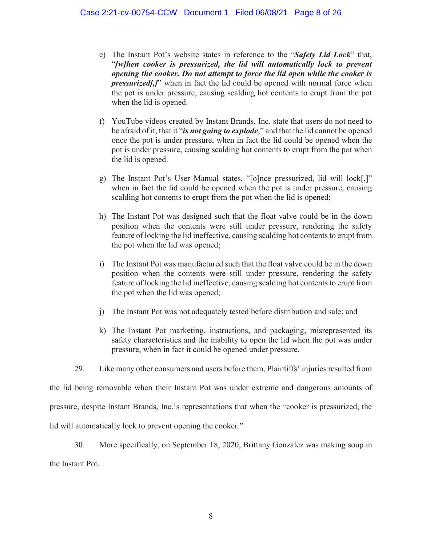- e) The Instant Pot's website states in reference to the "*Safety Lid Lock*" that, "*[w]hen cooker is pressurized, the lid will automatically lock to prevent opening the cooker. Do not attempt to force the lid open while the cooker is pressurized[,]*" when in fact the lid could be opened with normal force when the pot is under pressure, causing scalding hot contents to erupt from the pot when the lid is opened.
- f) YouTube videos created by Instant Brands, Inc. state that users do not need to be afraid of it, that it "*is not going to explode*," and that the lid cannot be opened once the pot is under pressure, when in fact the lid could be opened when the pot is under pressure, causing scalding hot contents to erupt from the pot when the lid is opened.
- g) The Instant Pot's User Manual states, "[o]nce pressurized, lid will lock[,]" when in fact the lid could be opened when the pot is under pressure, causing scalding hot contents to erupt from the pot when the lid is opened;
- h) The Instant Pot was designed such that the float valve could be in the down position when the contents were still under pressure, rendering the safety feature of locking the lid ineffective, causing scalding hot contents to erupt from the pot when the lid was opened;
- i) The Instant Pot was manufactured such that the float valve could be in the down position when the contents were still under pressure, rendering the safety feature of locking the lid ineffective, causing scalding hot contents to erupt from the pot when the lid was opened;
- j) The Instant Pot was not adequately tested before distribution and sale; and
- k) The Instant Pot marketing, instructions, and packaging, misrepresented its safety characteristics and the inability to open the lid when the pot was under pressure, when in fact it could be opened under pressure.
- 29. Like many other consumers and users before them, Plaintiffs' injuries resulted from

the lid being removable when their Instant Pot was under extreme and dangerous amounts of

pressure, despite Instant Brands, Inc.'s representations that when the "cooker is pressurized, the

lid will automatically lock to prevent opening the cooker."

30. More specifically, on September 18, 2020, Brittany Gonzalez was making soup in the Instant Pot.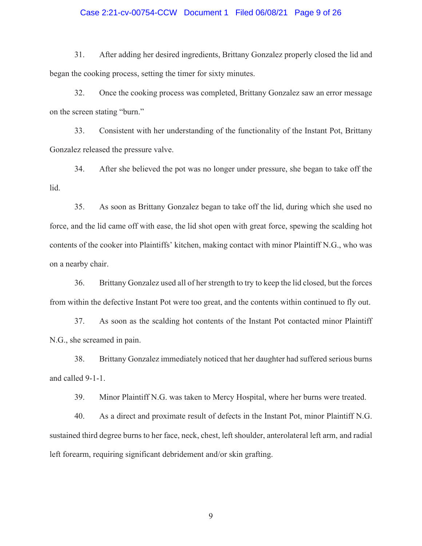### Case 2:21-cv-00754-CCW Document 1 Filed 06/08/21 Page 9 of 26

31. After adding her desired ingredients, Brittany Gonzalez properly closed the lid and began the cooking process, setting the timer for sixty minutes.

32. Once the cooking process was completed, Brittany Gonzalez saw an error message on the screen stating "burn."

33. Consistent with her understanding of the functionality of the Instant Pot, Brittany Gonzalez released the pressure valve.

34. After she believed the pot was no longer under pressure, she began to take off the lid.

35. As soon as Brittany Gonzalez began to take off the lid, during which she used no force, and the lid came off with ease, the lid shot open with great force, spewing the scalding hot contents of the cooker into Plaintiffs' kitchen, making contact with minor Plaintiff N.G., who was on a nearby chair.

36. Brittany Gonzalez used all of her strength to try to keep the lid closed, but the forces from within the defective Instant Pot were too great, and the contents within continued to fly out.

37. As soon as the scalding hot contents of the Instant Pot contacted minor Plaintiff N.G., she screamed in pain.

38. Brittany Gonzalez immediately noticed that her daughter had suffered serious burns and called 9-1-1.

39. Minor Plaintiff N.G. was taken to Mercy Hospital, where her burns were treated.

40. As a direct and proximate result of defects in the Instant Pot, minor Plaintiff N.G. sustained third degree burns to her face, neck, chest, left shoulder, anterolateral left arm, and radial left forearm, requiring significant debridement and/or skin grafting.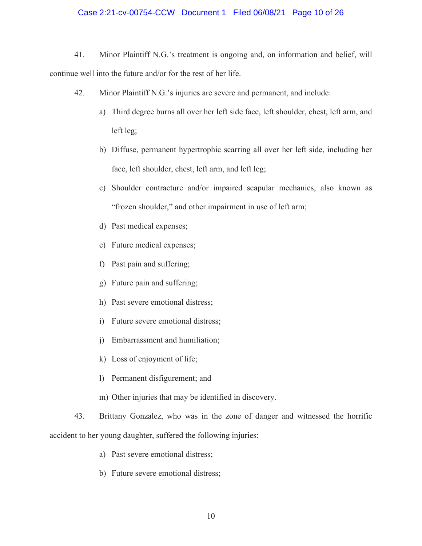### Case 2:21-cv-00754-CCW Document 1 Filed 06/08/21 Page 10 of 26

- 41. Minor Plaintiff N.G.'s treatment is ongoing and, on information and belief, will continue well into the future and/or for the rest of her life.
	- 42. Minor Plaintiff N.G.'s injuries are severe and permanent, and include:
		- a) Third degree burns all over her left side face, left shoulder, chest, left arm, and left leg;
		- b) Diffuse, permanent hypertrophic scarring all over her left side, including her face, left shoulder, chest, left arm, and left leg;
		- c) Shoulder contracture and/or impaired scapular mechanics, also known as "frozen shoulder," and other impairment in use of left arm;
		- d) Past medical expenses;
		- e) Future medical expenses;
		- f) Past pain and suffering;
		- g) Future pain and suffering;
		- h) Past severe emotional distress;
		- i) Future severe emotional distress;
		- j) Embarrassment and humiliation;
		- k) Loss of enjoyment of life;
		- l) Permanent disfigurement; and
		- m) Other injuries that may be identified in discovery.
- 43. Brittany Gonzalez, who was in the zone of danger and witnessed the horrific accident to her young daughter, suffered the following injuries:
	- a) Past severe emotional distress;
	- b) Future severe emotional distress;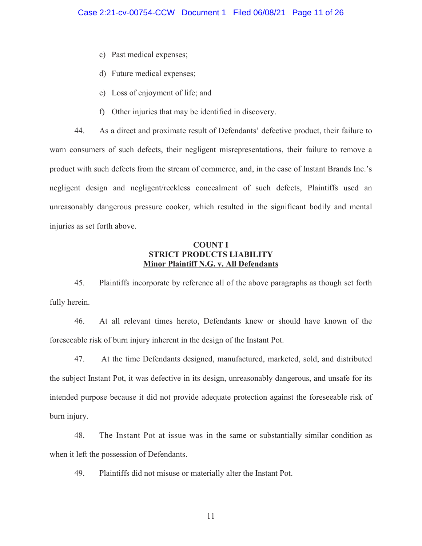- c) Past medical expenses;
- d) Future medical expenses;
- e) Loss of enjoyment of life; and
- f) Other injuries that may be identified in discovery.

44. As a direct and proximate result of Defendants' defective product, their failure to warn consumers of such defects, their negligent misrepresentations, their failure to remove a product with such defects from the stream of commerce, and, in the case of Instant Brands Inc.'s negligent design and negligent/reckless concealment of such defects, Plaintiffs used an unreasonably dangerous pressure cooker, which resulted in the significant bodily and mental injuries as set forth above.

# **COUNT I STRICT PRODUCTS LIABILITY Minor Plaintiff N.G. v. All Defendants**

45. Plaintiffs incorporate by reference all of the above paragraphs as though set forth fully herein.

46. At all relevant times hereto, Defendants knew or should have known of the foreseeable risk of burn injury inherent in the design of the Instant Pot.

47. At the time Defendants designed, manufactured, marketed, sold, and distributed the subject Instant Pot, it was defective in its design, unreasonably dangerous, and unsafe for its intended purpose because it did not provide adequate protection against the foreseeable risk of burn injury.

48. The Instant Pot at issue was in the same or substantially similar condition as when it left the possession of Defendants.

49. Plaintiffs did not misuse or materially alter the Instant Pot.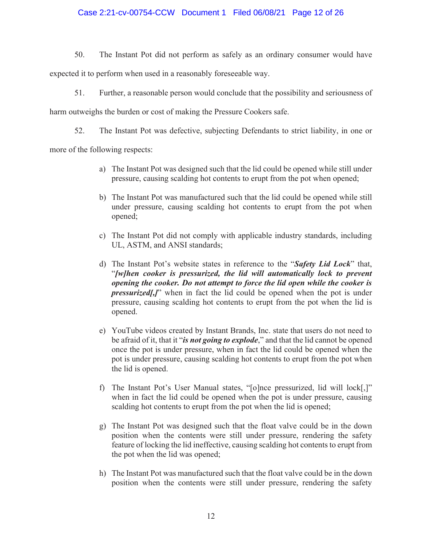# Case 2:21-cv-00754-CCW Document 1 Filed 06/08/21 Page 12 of 26

50. The Instant Pot did not perform as safely as an ordinary consumer would have

expected it to perform when used in a reasonably foreseeable way.

51. Further, a reasonable person would conclude that the possibility and seriousness of

harm outweighs the burden or cost of making the Pressure Cookers safe.

52. The Instant Pot was defective, subjecting Defendants to strict liability, in one or

more of the following respects:

- a) The Instant Pot was designed such that the lid could be opened while still under pressure, causing scalding hot contents to erupt from the pot when opened;
- b) The Instant Pot was manufactured such that the lid could be opened while still under pressure, causing scalding hot contents to erupt from the pot when opened;
- c) The Instant Pot did not comply with applicable industry standards, including UL, ASTM, and ANSI standards;
- d) The Instant Pot's website states in reference to the "*Safety Lid Lock*" that, "*[w]hen cooker is pressurized, the lid will automatically lock to prevent opening the cooker. Do not attempt to force the lid open while the cooker is pressurized[,]*" when in fact the lid could be opened when the pot is under pressure, causing scalding hot contents to erupt from the pot when the lid is opened.
- e) YouTube videos created by Instant Brands, Inc. state that users do not need to be afraid of it, that it "*is not going to explode*," and that the lid cannot be opened once the pot is under pressure, when in fact the lid could be opened when the pot is under pressure, causing scalding hot contents to erupt from the pot when the lid is opened.
- f) The Instant Pot's User Manual states, "[o]nce pressurized, lid will lock[,]" when in fact the lid could be opened when the pot is under pressure, causing scalding hot contents to erupt from the pot when the lid is opened;
- g) The Instant Pot was designed such that the float valve could be in the down position when the contents were still under pressure, rendering the safety feature of locking the lid ineffective, causing scalding hot contents to erupt from the pot when the lid was opened;
- h) The Instant Pot was manufactured such that the float valve could be in the down position when the contents were still under pressure, rendering the safety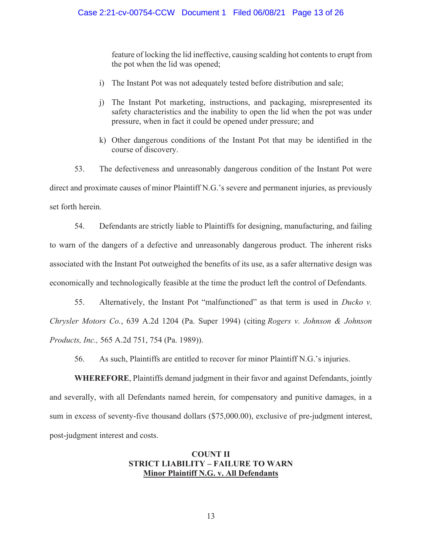feature of locking the lid ineffective, causing scalding hot contents to erupt from the pot when the lid was opened;

- i) The Instant Pot was not adequately tested before distribution and sale;
- j) The Instant Pot marketing, instructions, and packaging, misrepresented its safety characteristics and the inability to open the lid when the pot was under pressure, when in fact it could be opened under pressure; and
- k) Other dangerous conditions of the Instant Pot that may be identified in the course of discovery.

53. The defectiveness and unreasonably dangerous condition of the Instant Pot were direct and proximate causes of minor Plaintiff N.G.'s severe and permanent injuries, as previously set forth herein.

54. Defendants are strictly liable to Plaintiffs for designing, manufacturing, and failing to warn of the dangers of a defective and unreasonably dangerous product. The inherent risks associated with the Instant Pot outweighed the benefits of its use, as a safer alternative design was economically and technologically feasible at the time the product left the control of Defendants.

55. Alternatively, the Instant Pot "malfunctioned" as that term is used in *Ducko v. Chrysler Motors Co.*, 639 A.2d 1204 (Pa. Super 1994) (citing *Rogers v. Johnson & Johnson Products, Inc.,* 565 A.2d 751, 754 (Pa. 1989)).

56. As such, Plaintiffs are entitled to recover for minor Plaintiff N.G.'s injuries.

**WHEREFORE**, Plaintiffs demand judgment in their favor and against Defendants, jointly and severally, with all Defendants named herein, for compensatory and punitive damages, in a sum in excess of seventy-five thousand dollars (\$75,000.00), exclusive of pre-judgment interest, post-judgment interest and costs.

# **COUNT II STRICT LIABILITY – FAILURE TO WARN Minor Plaintiff N.G. v. All Defendants**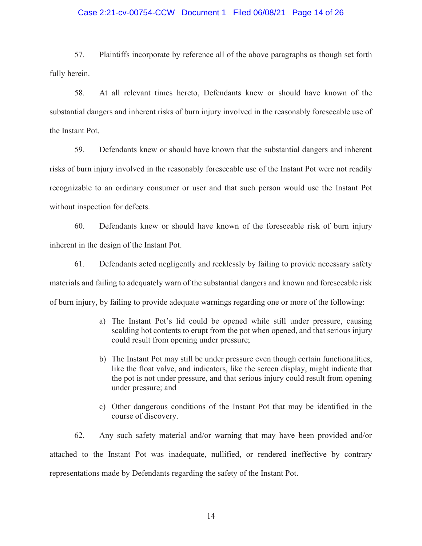### Case 2:21-cv-00754-CCW Document 1 Filed 06/08/21 Page 14 of 26

57. Plaintiffs incorporate by reference all of the above paragraphs as though set forth fully herein.

58. At all relevant times hereto, Defendants knew or should have known of the substantial dangers and inherent risks of burn injury involved in the reasonably foreseeable use of the Instant Pot.

59. Defendants knew or should have known that the substantial dangers and inherent risks of burn injury involved in the reasonably foreseeable use of the Instant Pot were not readily recognizable to an ordinary consumer or user and that such person would use the Instant Pot without inspection for defects.

60. Defendants knew or should have known of the foreseeable risk of burn injury inherent in the design of the Instant Pot.

61. Defendants acted negligently and recklessly by failing to provide necessary safety materials and failing to adequately warn of the substantial dangers and known and foreseeable risk of burn injury, by failing to provide adequate warnings regarding one or more of the following:

- a) The Instant Pot's lid could be opened while still under pressure, causing scalding hot contents to erupt from the pot when opened, and that serious injury could result from opening under pressure;
- b) The Instant Pot may still be under pressure even though certain functionalities, like the float valve, and indicators, like the screen display, might indicate that the pot is not under pressure, and that serious injury could result from opening under pressure; and
- c) Other dangerous conditions of the Instant Pot that may be identified in the course of discovery.

62. Any such safety material and/or warning that may have been provided and/or attached to the Instant Pot was inadequate, nullified, or rendered ineffective by contrary representations made by Defendants regarding the safety of the Instant Pot.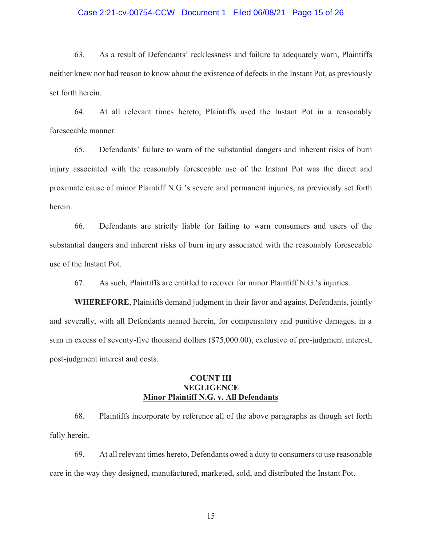### Case 2:21-cv-00754-CCW Document 1 Filed 06/08/21 Page 15 of 26

63. As a result of Defendants' recklessness and failure to adequately warn, Plaintiffs neither knew nor had reason to know about the existence of defects in the Instant Pot, as previously set forth herein.

64. At all relevant times hereto, Plaintiffs used the Instant Pot in a reasonably foreseeable manner.

65. Defendants' failure to warn of the substantial dangers and inherent risks of burn injury associated with the reasonably foreseeable use of the Instant Pot was the direct and proximate cause of minor Plaintiff N.G.'s severe and permanent injuries, as previously set forth herein.

66. Defendants are strictly liable for failing to warn consumers and users of the substantial dangers and inherent risks of burn injury associated with the reasonably foreseeable use of the Instant Pot.

67. As such, Plaintiffs are entitled to recover for minor Plaintiff N.G.'s injuries.

**WHEREFORE**, Plaintiffs demand judgment in their favor and against Defendants, jointly and severally, with all Defendants named herein, for compensatory and punitive damages, in a sum in excess of seventy-five thousand dollars (\$75,000.00), exclusive of pre-judgment interest, post-judgment interest and costs.

# **COUNT III NEGLIGENCE Minor Plaintiff N.G. v. All Defendants**

68. Plaintiffs incorporate by reference all of the above paragraphs as though set forth fully herein.

69. At all relevant times hereto, Defendants owed a duty to consumers to use reasonable care in the way they designed, manufactured, marketed, sold, and distributed the Instant Pot.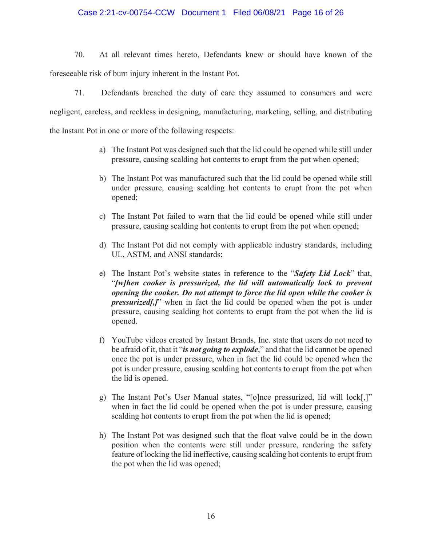## Case 2:21-cv-00754-CCW Document 1 Filed 06/08/21 Page 16 of 26

70. At all relevant times hereto, Defendants knew or should have known of the foreseeable risk of burn injury inherent in the Instant Pot.

71. Defendants breached the duty of care they assumed to consumers and were negligent, careless, and reckless in designing, manufacturing, marketing, selling, and distributing the Instant Pot in one or more of the following respects:

- a) The Instant Pot was designed such that the lid could be opened while still under pressure, causing scalding hot contents to erupt from the pot when opened;
- b) The Instant Pot was manufactured such that the lid could be opened while still under pressure, causing scalding hot contents to erupt from the pot when opened;
- c) The Instant Pot failed to warn that the lid could be opened while still under pressure, causing scalding hot contents to erupt from the pot when opened;
- d) The Instant Pot did not comply with applicable industry standards, including UL, ASTM, and ANSI standards;
- e) The Instant Pot's website states in reference to the "*Safety Lid Lock*" that, "*[w]hen cooker is pressurized, the lid will automatically lock to prevent opening the cooker. Do not attempt to force the lid open while the cooker is pressurized[,]*" when in fact the lid could be opened when the pot is under pressure, causing scalding hot contents to erupt from the pot when the lid is opened.
- f) YouTube videos created by Instant Brands, Inc. state that users do not need to be afraid of it, that it "*is not going to explode*," and that the lid cannot be opened once the pot is under pressure, when in fact the lid could be opened when the pot is under pressure, causing scalding hot contents to erupt from the pot when the lid is opened.
- g) The Instant Pot's User Manual states, "[o]nce pressurized, lid will lock[,]" when in fact the lid could be opened when the pot is under pressure, causing scalding hot contents to erupt from the pot when the lid is opened;
- h) The Instant Pot was designed such that the float valve could be in the down position when the contents were still under pressure, rendering the safety feature of locking the lid ineffective, causing scalding hot contents to erupt from the pot when the lid was opened;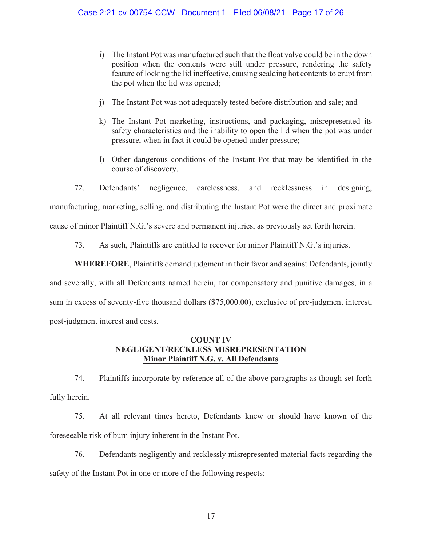- i) The Instant Pot was manufactured such that the float valve could be in the down position when the contents were still under pressure, rendering the safety feature of locking the lid ineffective, causing scalding hot contents to erupt from the pot when the lid was opened;
- j) The Instant Pot was not adequately tested before distribution and sale; and
- k) The Instant Pot marketing, instructions, and packaging, misrepresented its safety characteristics and the inability to open the lid when the pot was under pressure, when in fact it could be opened under pressure;
- l) Other dangerous conditions of the Instant Pot that may be identified in the course of discovery.

72. Defendants' negligence, carelessness, and recklessness in designing, manufacturing, marketing, selling, and distributing the Instant Pot were the direct and proximate cause of minor Plaintiff N.G.'s severe and permanent injuries, as previously set forth herein.

73. As such, Plaintiffs are entitled to recover for minor Plaintiff N.G.'s injuries.

**WHEREFORE**, Plaintiffs demand judgment in their favor and against Defendants, jointly

and severally, with all Defendants named herein, for compensatory and punitive damages, in a sum in excess of seventy-five thousand dollars (\$75,000.00), exclusive of pre-judgment interest, post-judgment interest and costs.

# **COUNT IV NEGLIGENT/RECKLESS MISREPRESENTATION Minor Plaintiff N.G. v. All Defendants**

74. Plaintiffs incorporate by reference all of the above paragraphs as though set forth fully herein.

75. At all relevant times hereto, Defendants knew or should have known of the foreseeable risk of burn injury inherent in the Instant Pot.

76. Defendants negligently and recklessly misrepresented material facts regarding the safety of the Instant Pot in one or more of the following respects: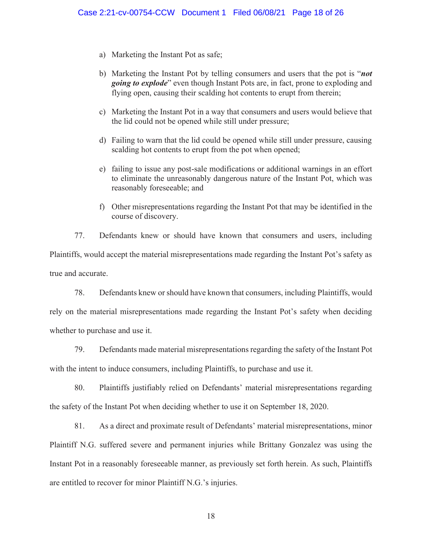- a) Marketing the Instant Pot as safe;
- b) Marketing the Instant Pot by telling consumers and users that the pot is "*not going to explode*" even though Instant Pots are, in fact, prone to exploding and flying open, causing their scalding hot contents to erupt from therein;
- c) Marketing the Instant Pot in a way that consumers and users would believe that the lid could not be opened while still under pressure;
- d) Failing to warn that the lid could be opened while still under pressure, causing scalding hot contents to erupt from the pot when opened;
- e) failing to issue any post-sale modifications or additional warnings in an effort to eliminate the unreasonably dangerous nature of the Instant Pot, which was reasonably foreseeable; and
- f) Other misrepresentations regarding the Instant Pot that may be identified in the course of discovery.

77. Defendants knew or should have known that consumers and users, including Plaintiffs, would accept the material misrepresentations made regarding the Instant Pot's safety as true and accurate.

78. Defendants knew or should have known that consumers, including Plaintiffs, would rely on the material misrepresentations made regarding the Instant Pot's safety when deciding whether to purchase and use it.

79. Defendants made material misrepresentations regarding the safety of the Instant Pot with the intent to induce consumers, including Plaintiffs, to purchase and use it.

80. Plaintiffs justifiably relied on Defendants' material misrepresentations regarding the safety of the Instant Pot when deciding whether to use it on September 18, 2020.

81. As a direct and proximate result of Defendants' material misrepresentations, minor Plaintiff N.G. suffered severe and permanent injuries while Brittany Gonzalez was using the Instant Pot in a reasonably foreseeable manner, as previously set forth herein. As such, Plaintiffs are entitled to recover for minor Plaintiff N.G.'s injuries.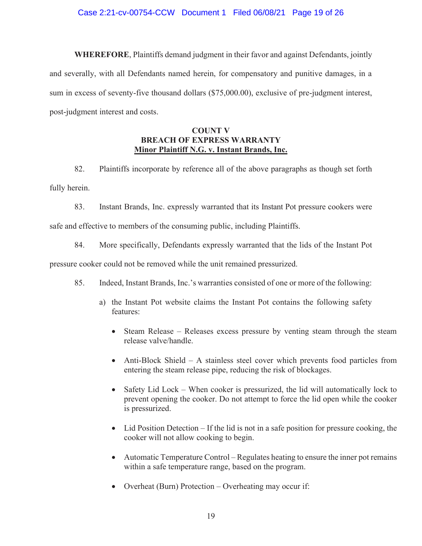## Case 2:21-cv-00754-CCW Document 1 Filed 06/08/21 Page 19 of 26

**WHEREFORE**, Plaintiffs demand judgment in their favor and against Defendants, jointly and severally, with all Defendants named herein, for compensatory and punitive damages, in a sum in excess of seventy-five thousand dollars (\$75,000.00), exclusive of pre-judgment interest, post-judgment interest and costs.

# **COUNT V BREACH OF EXPRESS WARRANTY Minor Plaintiff N.G. v. Instant Brands, Inc.**

82. Plaintiffs incorporate by reference all of the above paragraphs as though set forth fully herein.

83. Instant Brands, Inc. expressly warranted that its Instant Pot pressure cookers were safe and effective to members of the consuming public, including Plaintiffs.

84. More specifically, Defendants expressly warranted that the lids of the Instant Pot

pressure cooker could not be removed while the unit remained pressurized.

- 85. Indeed, Instant Brands, Inc.'s warranties consisted of one or more of the following:
	- a) the Instant Pot website claims the Instant Pot contains the following safety features:
		- Steam Release Releases excess pressure by venting steam through the steam release valve/handle.
		- Anti-Block Shield A stainless steel cover which prevents food particles from entering the steam release pipe, reducing the risk of blockages.
		- x Safety Lid Lock When cooker is pressurized, the lid will automatically lock to prevent opening the cooker. Do not attempt to force the lid open while the cooker is pressurized.
		- $\bullet$  Lid Position Detection If the lid is not in a safe position for pressure cooking, the cooker will not allow cooking to begin.
		- $\bullet$  Automatic Temperature Control Regulates heating to ensure the inner pot remains within a safe temperature range, based on the program.
		- Overheat (Burn) Protection Overheating may occur if: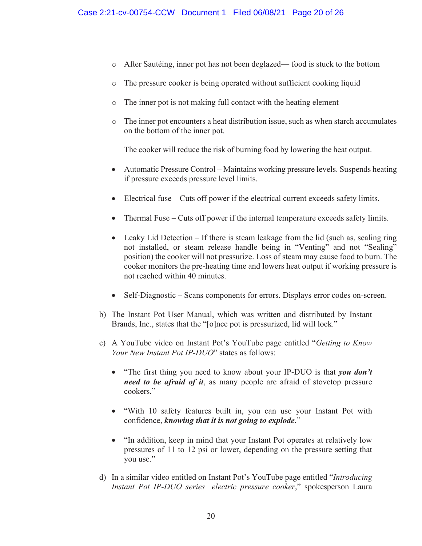- o After Sautéing, inner pot has not been deglazed— food is stuck to the bottom
- o The pressure cooker is being operated without sufficient cooking liquid
- o The inner pot is not making full contact with the heating element
- o The inner pot encounters a heat distribution issue, such as when starch accumulates on the bottom of the inner pot.

The cooker will reduce the risk of burning food by lowering the heat output.

- Automatic Pressure Control Maintains working pressure levels. Suspends heating if pressure exceeds pressure level limits.
- Electrical fuse Cuts off power if the electrical current exceeds safety limits.
- x Thermal Fuse Cuts off power if the internal temperature exceeds safety limits.
- $\bullet$  Leaky Lid Detection If there is steam leakage from the lid (such as, sealing ring not installed, or steam release handle being in "Venting" and not "Sealing" position) the cooker will not pressurize. Loss of steam may cause food to burn. The cooker monitors the pre-heating time and lowers heat output if working pressure is not reached within 40 minutes.
- Self-Diagnostic Scans components for errors. Displays error codes on-screen.
- b) The Instant Pot User Manual, which was written and distributed by Instant Brands, Inc., states that the "[o]nce pot is pressurized, lid will lock."
- c) A YouTube video on Instant Pot's YouTube page entitled "*Getting to Know Your New Instant Pot IP-DUO*" states as follows:
	- "The first thing you need to know about your IP-DUO is that *you don't need to be afraid of it*, as many people are afraid of stovetop pressure cookers."
	- x "With 10 safety features built in, you can use your Instant Pot with confidence, *knowing that it is not going to explode*."
	- "In addition, keep in mind that your Instant Pot operates at relatively low pressures of 11 to 12 psi or lower, depending on the pressure setting that you use."
- d) In a similar video entitled on Instant Pot's YouTube page entitled "*Introducing Instant Pot IP-DUO series electric pressure cooker*," spokesperson Laura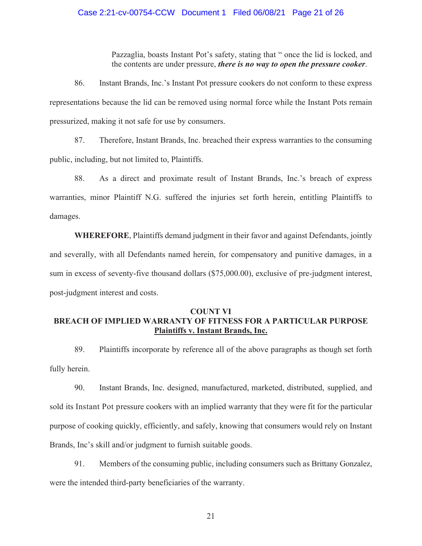### Case 2:21-cv-00754-CCW Document 1 Filed 06/08/21 Page 21 of 26

Pazzaglia, boasts Instant Pot's safety, stating that " once the lid is locked, and the contents are under pressure, *there is no way to open the pressure cooker*.

86. Instant Brands, Inc.'s Instant Pot pressure cookers do not conform to these express representations because the lid can be removed using normal force while the Instant Pots remain pressurized, making it not safe for use by consumers.

87. Therefore, Instant Brands, Inc. breached their express warranties to the consuming public, including, but not limited to, Plaintiffs.

88. As a direct and proximate result of Instant Brands, Inc.'s breach of express warranties, minor Plaintiff N.G. suffered the injuries set forth herein, entitling Plaintiffs to damages.

**WHEREFORE**, Plaintiffs demand judgment in their favor and against Defendants, jointly and severally, with all Defendants named herein, for compensatory and punitive damages, in a sum in excess of seventy-five thousand dollars (\$75,000.00), exclusive of pre-judgment interest, post-judgment interest and costs.

# **COUNT VI BREACH OF IMPLIED WARRANTY OF FITNESS FOR A PARTICULAR PURPOSE Plaintiffs v. Instant Brands, Inc.**

89. Plaintiffs incorporate by reference all of the above paragraphs as though set forth fully herein.

90. Instant Brands, Inc. designed, manufactured, marketed, distributed, supplied, and sold its Instant Pot pressure cookers with an implied warranty that they were fit for the particular purpose of cooking quickly, efficiently, and safely, knowing that consumers would rely on Instant Brands, Inc's skill and/or judgment to furnish suitable goods.

91. Members of the consuming public, including consumers such as Brittany Gonzalez, were the intended third-party beneficiaries of the warranty.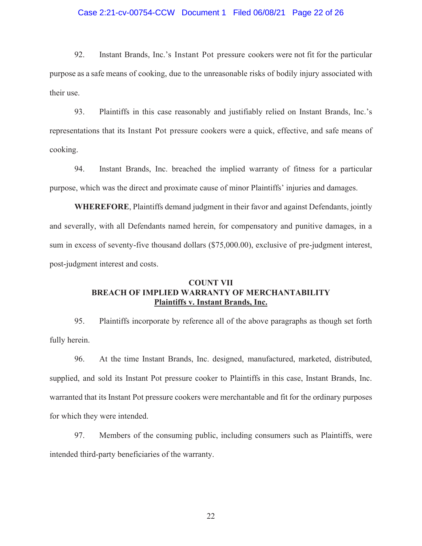### Case 2:21-cv-00754-CCW Document 1 Filed 06/08/21 Page 22 of 26

92. Instant Brands, Inc.'s Instant Pot pressure cookers were not fit for the particular purpose as a safe means of cooking, due to the unreasonable risks of bodily injury associated with their use.

93. Plaintiffs in this case reasonably and justifiably relied on Instant Brands, Inc.'s representations that its Instant Pot pressure cookers were a quick, effective, and safe means of cooking.

94. Instant Brands, Inc. breached the implied warranty of fitness for a particular purpose, which was the direct and proximate cause of minor Plaintiffs' injuries and damages.

**WHEREFORE**, Plaintiffs demand judgment in their favor and against Defendants, jointly and severally, with all Defendants named herein, for compensatory and punitive damages, in a sum in excess of seventy-five thousand dollars (\$75,000.00), exclusive of pre-judgment interest, post-judgment interest and costs.

# **COUNT VII BREACH OF IMPLIED WARRANTY OF MERCHANTABILITY Plaintiffs v. Instant Brands, Inc.**

95. Plaintiffs incorporate by reference all of the above paragraphs as though set forth fully herein.

96. At the time Instant Brands, Inc. designed, manufactured, marketed, distributed, supplied, and sold its Instant Pot pressure cooker to Plaintiffs in this case, Instant Brands, Inc. warranted that its Instant Pot pressure cookers were merchantable and fit for the ordinary purposes for which they were intended.

97. Members of the consuming public, including consumers such as Plaintiffs, were intended third-party beneficiaries of the warranty.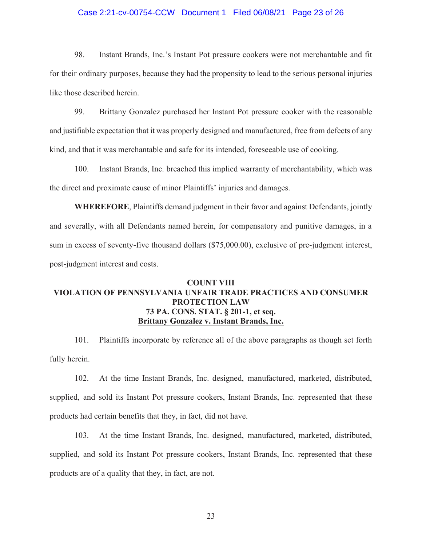### Case 2:21-cv-00754-CCW Document 1 Filed 06/08/21 Page 23 of 26

98. Instant Brands, Inc.'s Instant Pot pressure cookers were not merchantable and fit for their ordinary purposes, because they had the propensity to lead to the serious personal injuries like those described herein.

99. Brittany Gonzalez purchased her Instant Pot pressure cooker with the reasonable and justifiable expectation that it was properly designed and manufactured, free from defects of any kind, and that it was merchantable and safe for its intended, foreseeable use of cooking.

100. Instant Brands, Inc. breached this implied warranty of merchantability, which was the direct and proximate cause of minor Plaintiffs' injuries and damages.

**WHEREFORE**, Plaintiffs demand judgment in their favor and against Defendants, jointly and severally, with all Defendants named herein, for compensatory and punitive damages, in a sum in excess of seventy-five thousand dollars (\$75,000.00), exclusive of pre-judgment interest, post-judgment interest and costs.

# **COUNT VIII VIOLATION OF PENNSYLVANIA UNFAIR TRADE PRACTICES AND CONSUMER PROTECTION LAW 73 PA. CONS. STAT. § 201-1, et seq. Brittany Gonzalez v. Instant Brands, Inc.**

101. Plaintiffs incorporate by reference all of the above paragraphs as though set forth fully herein.

102. At the time Instant Brands, Inc. designed, manufactured, marketed, distributed, supplied, and sold its Instant Pot pressure cookers, Instant Brands, Inc. represented that these products had certain benefits that they, in fact, did not have.

103. At the time Instant Brands, Inc. designed, manufactured, marketed, distributed, supplied, and sold its Instant Pot pressure cookers, Instant Brands, Inc. represented that these products are of a quality that they, in fact, are not.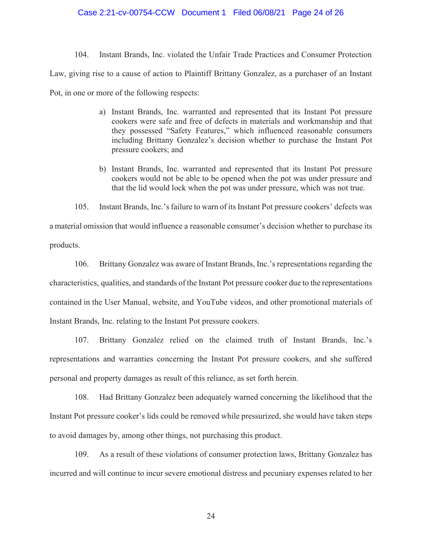### Case 2:21-cv-00754-CCW Document 1 Filed 06/08/21 Page 24 of 26

104. Instant Brands, Inc. violated the Unfair Trade Practices and Consumer Protection Law, giving rise to a cause of action to Plaintiff Brittany Gonzalez, as a purchaser of an Instant Pot, in one or more of the following respects:

- a) Instant Brands, Inc. warranted and represented that its Instant Pot pressure cookers were safe and free of defects in materials and workmanship and that they possessed "Safety Features," which influenced reasonable consumers including Brittany Gonzalez's decision whether to purchase the Instant Pot pressure cookers; and
- b) Instant Brands, Inc. warranted and represented that its Instant Pot pressure cookers would not be able to be opened when the pot was under pressure and that the lid would lock when the pot was under pressure, which was not true.

105. Instant Brands, Inc.'s failure to warn of its Instant Pot pressure cookers' defects was a material omission that would influence a reasonable consumer's decision whether to purchase its products.

106. Brittany Gonzalez was aware of Instant Brands, Inc.'s representations regarding the characteristics, qualities, and standards of the Instant Pot pressure cooker due to the representations contained in the User Manual, website, and YouTube videos, and other promotional materials of Instant Brands, Inc. relating to the Instant Pot pressure cookers.

107. Brittany Gonzalez relied on the claimed truth of Instant Brands, Inc.'s representations and warranties concerning the Instant Pot pressure cookers, and she suffered personal and property damages as result of this reliance, as set forth herein.

108. Had Brittany Gonzalez been adequately warned concerning the likelihood that the Instant Pot pressure cooker's lids could be removed while pressurized, she would have taken steps to avoid damages by, among other things, not purchasing this product.

109. As a result of these violations of consumer protection laws, Brittany Gonzalez has incurred and will continue to incur severe emotional distress and pecuniary expenses related to her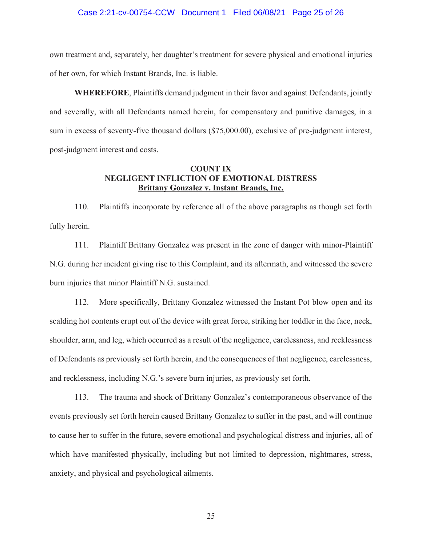#### Case 2:21-cv-00754-CCW Document 1 Filed 06/08/21 Page 25 of 26

own treatment and, separately, her daughter's treatment for severe physical and emotional injuries of her own, for which Instant Brands, Inc. is liable.

**WHEREFORE**, Plaintiffs demand judgment in their favor and against Defendants, jointly and severally, with all Defendants named herein, for compensatory and punitive damages, in a sum in excess of seventy-five thousand dollars (\$75,000.00), exclusive of pre-judgment interest, post-judgment interest and costs.

## **COUNT IX NEGLIGENT INFLICTION OF EMOTIONAL DISTRESS Brittany Gonzalez v. Instant Brands, Inc.**

110. Plaintiffs incorporate by reference all of the above paragraphs as though set forth fully herein.

111. Plaintiff Brittany Gonzalez was present in the zone of danger with minor-Plaintiff N.G. during her incident giving rise to this Complaint, and its aftermath, and witnessed the severe burn injuries that minor Plaintiff N.G. sustained.

112. More specifically, Brittany Gonzalez witnessed the Instant Pot blow open and its scalding hot contents erupt out of the device with great force, striking her toddler in the face, neck, shoulder, arm, and leg, which occurred as a result of the negligence, carelessness, and recklessness of Defendants as previously set forth herein, and the consequences of that negligence, carelessness, and recklessness, including N.G.'s severe burn injuries, as previously set forth.

113. The trauma and shock of Brittany Gonzalez's contemporaneous observance of the events previously set forth herein caused Brittany Gonzalez to suffer in the past, and will continue to cause her to suffer in the future, severe emotional and psychological distress and injuries, all of which have manifested physically, including but not limited to depression, nightmares, stress, anxiety, and physical and psychological ailments.